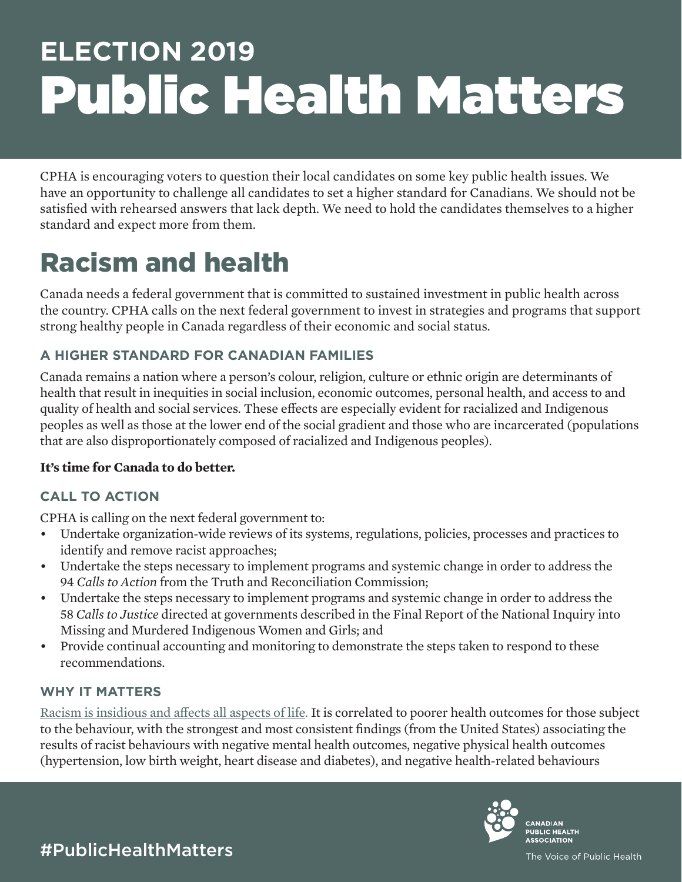# **ELECTION 2019** Public Health Matters

CPHA is encouraging voters to question their local candidates on some key public health issues. We have an opportunity to challenge all candidates to set a higher standard for Canadians. We should not be satisfied with rehearsed answers that lack depth. We need to hold the candidates themselves to a higher standard and expect more from them.

## Racism and health

Canada needs a federal government that is committed to sustained investment in public health across the country. CPHA calls on the next federal government to invest in strategies and programs that support strong healthy people in Canada regardless of their economic and social status.

#### **A HIGHER STANDARD FOR CANADIAN FAMILIES**

Canada remains a nation where a person's colour, religion, culture or ethnic origin are determinants of health that result in inequities in social inclusion, economic outcomes, personal health, and access to and quality of health and social services. These effects are especially evident for racialized and Indigenous peoples as well as those at the lower end of the social gradient and those who are incarcerated (populations that are also disproportionately composed of racialized and Indigenous peoples).

#### **It's time for Canada to do better.**

#### **CALL TO ACTION**

CPHA is calling on the next federal government to:

- Undertake organization-wide reviews of its systems, regulations, policies, processes and practices to identify and remove racist approaches;
- Undertake the steps necessary to implement programs and systemic change in order to address the 94 *Calls to Action* from the Truth and Reconciliation Commission;
- Undertake the steps necessary to implement programs and systemic change in order to address the 58 *Calls to Justice* directed at governments described in the Final Report of the National Inquiry into Missing and Murdered Indigenous Women and Girls; and
- Provide continual accounting and monitoring to demonstrate the steps taken to respond to these recommendations.

#### **WHY IT MATTERS**

[Racism is insidious and affects all aspects of life.](https://www.ncbi.nlm.nih.gov/pubmed/16585055) It is correlated to poorer health outcomes for those subject to the behaviour, with the strongest and most consistent findings (from the United States) associating the results of racist behaviours with negative mental health outcomes, negative physical health outcomes (hypertension, low birth weight, heart disease and diabetes), and negative health-related behaviours



#PublicHealthMatters

The Voice of Public Health